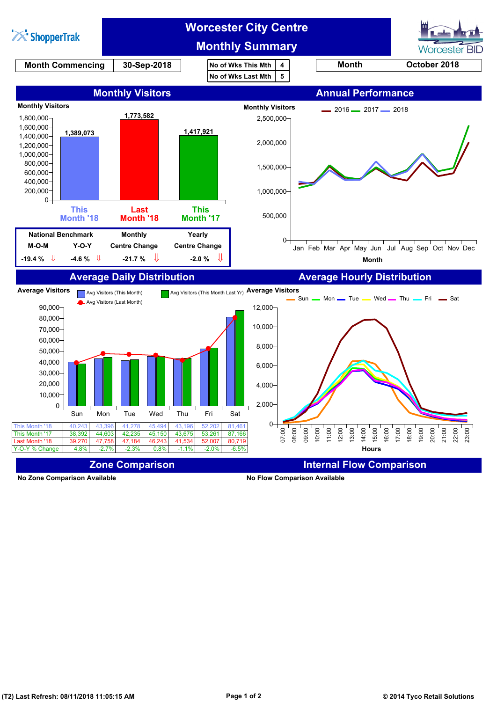

**No Zone Comparison Available No Flow Comparison Available**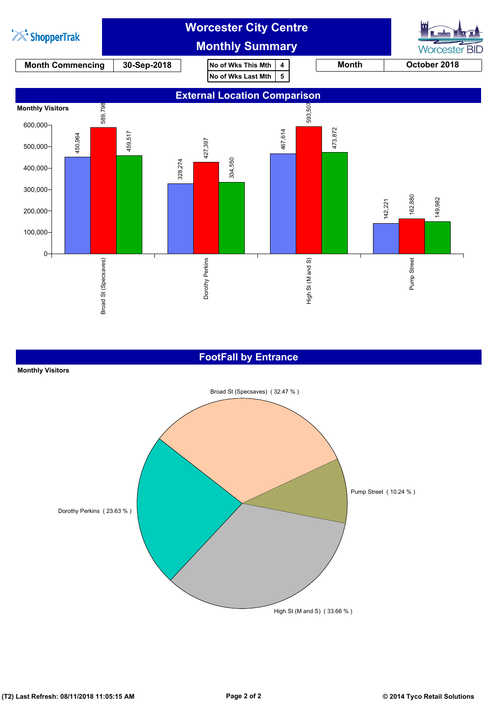

## **FootFall by Entrance**